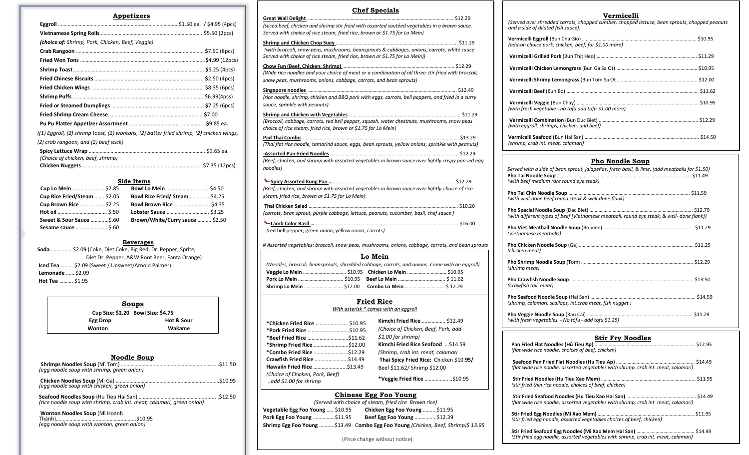| Appetizers                                                                                |  |
|-------------------------------------------------------------------------------------------|--|
|                                                                                           |  |
|                                                                                           |  |
| (choice of: Shrimp, Pork, Chicken, Beef, Veggie)                                          |  |
|                                                                                           |  |
|                                                                                           |  |
|                                                                                           |  |
|                                                                                           |  |
|                                                                                           |  |
|                                                                                           |  |
|                                                                                           |  |
|                                                                                           |  |
|                                                                                           |  |
| $(1)$ Eggroll, (2) shrimp toast, (2) wontons, (2) batter fried shrimp, (2) chicken wings, |  |
| (2) crab rangoon, and (2) beef stick)                                                     |  |
| (Choice of chicken, beef, shrimp)                                                         |  |
|                                                                                           |  |

#### **Side Items**

| Cup Lo Mein  \$2.85          |                                       |
|------------------------------|---------------------------------------|
| Cup Rice Fried/Steam  \$2.05 | <b>Bowl Rice Fried/ Steam  \$4.25</b> |
| Cup Brown Rice \$2.25        |                                       |
|                              |                                       |
| Sweet & Sour Sauce \$.60     | Brown/White/Curry sauce  \$2.50       |
| <b>Sesame sauce </b> \$.60   |                                       |

#### **Beverages**

|                         | Soda \$2.09 (Coke, Diet Coke, Big Red, Dr. Pepper, Sprite, |
|-------------------------|------------------------------------------------------------|
|                         | Diet Dr. Pepper, A&W Root Beer, Fanta Orange)              |
|                         | <b>Iced Tea</b> \$2.09 (Sweet / Unsweet/Arnold Palmer)     |
| <b>Lemonade  \$2.09</b> |                                                            |
| Hot Tea  \$1.95         |                                                            |

| Soups                              |            |
|------------------------------------|------------|
| Cup Size: \$2.20 Bowl Size: \$4.75 |            |
| Egg Drop                           | Hot & Sour |
| Wonton                             | Wakame     |

| Noodle Soup                                                                 |  |
|-----------------------------------------------------------------------------|--|
| (egg noodle soup with shrimp, green onion)                                  |  |
|                                                                             |  |
| (egg noodle soup with chicken, green onion)                                 |  |
| (rice noodle soup with shrimp, crab int. meat, calamari, green onion)       |  |
| Wonton Noodles Soup (Mì Hoành<br>(egg noodle soup with wonton, green onion) |  |

| <b>Chef Specials</b>                                                                                                                                                         |                                         |
|------------------------------------------------------------------------------------------------------------------------------------------------------------------------------|-----------------------------------------|
|                                                                                                                                                                              |                                         |
| (sliced beef, chicken and shrimp stir fried with assorted sautéed vegetables in a brown sauce.<br>Served with choice of rice steam, fried rice, brown or \$1.75 for Lo Mein) |                                         |
|                                                                                                                                                                              |                                         |
| (with broccoli, snow peas, mushrooms, beansprouts & cabbages, onions, carrots, white sauce<br>Served with choice of rice steam, fried rice, brown or \$1.75 for Lo Mein))    |                                         |
|                                                                                                                                                                              |                                         |
| (Wide rice noodles and your choice of meat or a combination of all three-stir fried with broccoli,                                                                           |                                         |
| snow peas, mushrooms, onions, cabbage, carrots, and bean sprouts)                                                                                                            |                                         |
|                                                                                                                                                                              |                                         |
| (rice noodle, shrimp, chicken and BBQ pork with eggs, carrots, bell peppers, and fried in a curry<br>sauce, sprinkle with peanuts)                                           |                                         |
|                                                                                                                                                                              |                                         |
| (Broccoli, cabbage, carrots, red bell pepper, squash, water chestnuts, mushrooms, snow peas<br>choice of rice steam, fried rice, brown or \$1.75 for Lo Mein)                |                                         |
|                                                                                                                                                                              |                                         |
| (Thai flat rice noodle, tamarind sauce, eggs, bean sprouts, yellow onions, sprinkle with peanuts)                                                                            |                                         |
|                                                                                                                                                                              |                                         |
| (Beef, chicken, and shrimp with assorted vegetables in brown sauce over lightly crispy pan-ied egg<br>noodles)                                                               |                                         |
|                                                                                                                                                                              |                                         |
| (Beef, chicken, and shrimp with assorted vegetables in brown sauce over lightly choice of rice                                                                               |                                         |
| steam, fried rice, brown or \$1.75 for Lo Mein)                                                                                                                              |                                         |
|                                                                                                                                                                              |                                         |
| (carrots, bean sprout, purple cabbage, lettuce, peanuts, cucumber, basil, chef sauce)                                                                                        |                                         |
|                                                                                                                                                                              |                                         |
|                                                                                                                                                                              |                                         |
| (red bell pepper, green onion, yellow onion, carrots)                                                                                                                        |                                         |
| # Assorted vegetables: broccoli, snow peas, mushrooms, onions, cabbage, carrots, and bean sprouts                                                                            |                                         |
| Lo Mein                                                                                                                                                                      |                                         |
| (Noodles, broccoli, beansprouts, shredded cabbage, carrots, and onions. Come with an eggroll)                                                                                |                                         |
| Veggie Lo Mein  \$10.95 Chicken Lo Mein  \$10.95                                                                                                                             |                                         |
|                                                                                                                                                                              |                                         |
|                                                                                                                                                                              |                                         |
| <b>Fried Rice</b>                                                                                                                                                            |                                         |
| With asterisk * comes with an eggroll                                                                                                                                        |                                         |
| *Chicken Fried Rice  \$10.95                                                                                                                                                 | Kimchi Fried Rice  \$12.49              |
|                                                                                                                                                                              | (Choice of Chicken, Beef, Pork, add     |
|                                                                                                                                                                              | \$1.00 for shrimp)                      |
| *Shrimp Fried Rice \$12.00                                                                                                                                                   | Kimchi Fried Rice Seafood \$14.59       |
| *Combo Fried Rice \$12.29                                                                                                                                                    | (Shrimp, crab int. meat, calamari       |
| Crawfish Fried Rice  \$14.49                                                                                                                                                 |                                         |
|                                                                                                                                                                              | Thai Spicy Fried Rice: Chicken \$10.95/ |
| Hawaiin Fried Rice \$13.49                                                                                                                                                   | Beef \$11.62/ Shrimp \$12.00            |
| (Choice of Chicken, Pork, Beef)<br>add \$1.00 for shrimp                                                                                                                     | *Veggie Fried Rice \$10.95              |

#### **Chinese Egg Foo Young**

| (Served with choice of steam, fried rice Brown rice) |                                                                                  |  |
|------------------------------------------------------|----------------------------------------------------------------------------------|--|
| Vegetable Egg Foo Young  \$10.95                     | Chicken Egg Foo Young  \$11.95                                                   |  |
| <b>Pork Egg Foo Young </b> \$11.95                   | Beef Egg Foo Young \$12.39                                                       |  |
|                                                      | Shrimp Egg Foo Young \$13.49 Combo Egg Foo Young (Chicken, Beef, Shrimp)\$ 13.95 |  |

(Price change without notice)

#### **Vermicelli**

| Pho Noodle Soup                                                                                                                     |  |
|-------------------------------------------------------------------------------------------------------------------------------------|--|
|                                                                                                                                     |  |
| (shrimp, crab int. meat, calamari)                                                                                                  |  |
| (with eggroll, shrimps, chicken, and beef)                                                                                          |  |
| (with fresh vegetable - no tofu add tofu \$1.00 more)                                                                               |  |
|                                                                                                                                     |  |
|                                                                                                                                     |  |
|                                                                                                                                     |  |
|                                                                                                                                     |  |
| (add-on choice pork, chicken, beef, for \$1.00 more)                                                                                |  |
| (Served over shredded carrots, chopped cumber, chopped lettuce, bean sprouts, chopped peanuts<br>and a side of diluted fish sauce). |  |

| Served with a side of bean sprout, jalapeños, fresh basil, & lime. (add meatballs for \$1.50) |  |
|-----------------------------------------------------------------------------------------------|--|
| (with beef medium rare round eye steak)                                                       |  |
| (with well-done beef round steak & well-done flank)                                           |  |
| (with different types of beef [Vietnamese meatball, round eye steak, & well-done flank])      |  |
| (Vietnamese meatballs)                                                                        |  |
| (chicken meat)                                                                                |  |
| (shrimp meat)                                                                                 |  |
| (Crawfish tail meat)                                                                          |  |
| (shrimp, calamari, scallops, int.crab meat, fish nugget)                                      |  |
| (with fresh vegetables. - No tofu - add tofu \$1.25)                                          |  |
| <b>Stir Fry Noodles</b>                                                                       |  |
| (flat wide rice noodle, choices of beef, chicken)                                             |  |
| (flat wide rice noodle, assorted vegetables with shrimp, crab int. meat, calamari)            |  |
| (stir fried thin rice noodle, choices of beef, chicken)                                       |  |
| (flat wide rice noodle, assorted vegetables with shrimp, crab int. meat, calamari)            |  |
|                                                                                               |  |

**Stir Fried Seafood Egg Noodles (Mi Xao Mem Hai San)** …………………………..…………. \$14.49 *(Stir fried egg noodle, assorted vegetables with shrimp, crab int. meat, calamari)*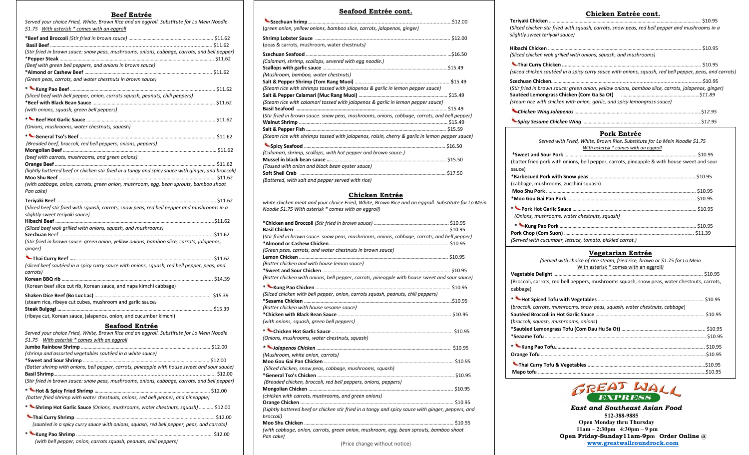#### **Beef Entrée**

I

*Served your choice Fried, White, Brown Rice and an eggroll. Substitute for Lo Mein Noodle \$1.75 With asterisk \* comes with an eggroll* **\*Beef and Broccoli** *(Stir fried in brown sauce)* ………………………………..………….......…….. \$11.62 **Basil Beef** ………………………………..…………..............................................................…….. \$11.62 (*Stir fried in brown sauce: snow peas, mushrooms, onions, cabbage, carrots, and bell pepper)* \***Pepper Steak** ……………………………………………………………………………………….……………….. \$11.62 *(Beef with green bell peppers, and onions in brown sauce)* **\*Almond or Cashew Beef** ……………………………………………………………………..…………….... \$11.62 *(Green peas, carrots, and water chestnuts in brown sauce)* **\* Kung Pao Beef** ……………………………………………………………….……………………….........… \$11.62 *(Sliced beef with bell pepper, onion, carrots squash, peanuts, chili peppers)* **\*Beef with Black Bean Sauce** …………………….………………………………………………..………….. \$11.62 *(with onions, squash, green bell peppers)* **\* Beef Hot Garlic Sauce** ………………………………………………………………………..……….……. \$11.62 *(Onions, mushrooms, water chestnuts, squash)* **\* General Tso's Beef** ………………………………………..………………………………….…..……..….. \$11.62 *(Breaded beef, broccoli, red bell peppers, onions, peppers)* **Mongolian Beef** ………………………………………………….…………………………………………..……..… \$11.62 *(beef with carrots, mushrooms, and green onions)* **Orange Beef** ………………………………………………………………………………………….…………………. \$11.62 *(lightly battered beef or chicken stir fried in a tangy and spicy sauce with ginger, and broccoli)* **Moo Shu Beef** …………………………………………………………………………………………………...…….. \$11.62 *(with cabbage, onion, carrots, green onion, mushroom, egg, bean sprouts, bamboo shoot Pan cake)* **Teriyaki Beef** …………………………………………………………………….………………..……………………. \$11.62 (*Sliced beef stir fried with squash, carrots, snow peas, red bell pepper and mushrooms in a slightly sweet teriyaki sauce)* **Hibachi Beef** ………………………………………………………………………………………..……….……......\$11.62 *(Sliced beef wok grilled with onions, squash, and mushrooms)* **Szechuan** Beef ………………………………..…………................................................................\$11.62 (*Stir fried in brown sauce: green onion, yellow onions, bamboo slice, carrots, jalapenos, ginger)* **Thai Curry Beef ….**………………………………………………………………………………………...….. \$11.62 *(sliced beef sautéed in a spicy curry sauce with onions, squash, red bell pepper, peas, and carrots)* **Korean BBQ rib** ……………………………………………………………………...…….…….……………….... \$14.39 (Korean beef slice cut rib, Korean sauce, and napa kimchi cabbage) **Shaken Dice Beef (Bo Luc Lac)** …………………………………………………………………………..…. \$15.39 (steam rice, ribeye cut cubes, mushroom and garlic sauce*)* **Steak Bulgogi …**…………………………………………………………………………….….…………….…..…. \$15.39 (ribeye cut, Korean sauce, jalapenos, onion, and cucumber kimchi)

#### **Seafood Entrée**

| Served your choice Fried, White, Brown Rice and an eggroll. Substitute for Lo Mein Noodle    |  |
|----------------------------------------------------------------------------------------------|--|
| \$1.75 With asterisk * comes with an eggroll                                                 |  |
|                                                                                              |  |
| (shrimp and assorted vegetables sautéed in a white sauce)                                    |  |
|                                                                                              |  |
| (Batter shrimp with onions, bell pepper, carrots, pineapple with house sweet and sour sauce) |  |
|                                                                                              |  |
| (Stir fried in brown sauce: snow peas, mushrooms, onions, cabbage, carrots, and bell pepper) |  |
|                                                                                              |  |
|                                                                                              |  |
| (batter fried shrimp with water chestnuts, onions, red bell pepper, and pineapple)           |  |
| * Shrimp Hot Garlic Sauce (Onions, mushrooms, water chestnuts, squash)  \$12.00              |  |
|                                                                                              |  |
| (sautéed in a spicy curry sauce with onions, squash, red bell pepper, peas, and carrots)     |  |
|                                                                                              |  |

#### **Seafood Entrée cont.**

| (green onion, yellow onions, bamboo slice, carrots, jalapenos, ginger)                         |  |
|------------------------------------------------------------------------------------------------|--|
| (peas & carrots, mushroom, water chestnuts)                                                    |  |
| (Calamari, shrimp, scallops, severed with egg noodle.)                                         |  |
| (Mushroom, bamboo, water chestnuts)                                                            |  |
| (Steam rice with shrimps tossed with jalapenos & garlic in lemon pepper sauce)                 |  |
| (Steam rice with calamari tossed with jalapenos & garlic in lemon pepper sauce)                |  |
| (Stir fried in brown sauce: snow peas, mushrooms, onions, cabbage, carrots, and bell pepper)   |  |
| (Steam rice with shrimps tossed with jalapenos, raisin, cherry & garlic in lemon pepper sauce) |  |
|                                                                                                |  |
| (Calamari, shrimp, scallops, with hot pepper and brown sauce.)                                 |  |
| (Tossed with onion and black bean oyster sauce)                                                |  |
| (Battered, with salt and pepper served with rice)                                              |  |

#### **Chicken Entrée**

*white chicken meat and your choice Fried, White, Brown Rice and an eggroll. Substitute for Lo Mein Noodle \$1.75 With asterisk \* comes with an eggroll)*

| (Stir fried in brown sauce: snow peas, mushrooms, onions, cabbage, carrots, and bell pepper)      |  |
|---------------------------------------------------------------------------------------------------|--|
|                                                                                                   |  |
| (Green peas, carrots, and water chestnuts in brown sauce)                                         |  |
|                                                                                                   |  |
| (Batter chicken and with house lemon sauce)                                                       |  |
|                                                                                                   |  |
| (Batter chicken with onions, bell pepper, carrots, pineapple with house sweet and sour sauce)     |  |
|                                                                                                   |  |
| (Sliced chicken with bell pepper, onion, carrots squash, peanuts, chili peppers)                  |  |
|                                                                                                   |  |
| (Batter chicken with house sesame sauce)                                                          |  |
|                                                                                                   |  |
| (with onions, squash, green bell peppers)                                                         |  |
|                                                                                                   |  |
| (Onions, mushrooms, water chestnuts, squash)                                                      |  |
|                                                                                                   |  |
| (Mushroom, white onion, carrots)                                                                  |  |
|                                                                                                   |  |
| (Sliced chicken, snow peas, cabbage, mushrooms, squash)                                           |  |
|                                                                                                   |  |
| (Breaded chicken, broccoli, red bell peppers, onions, peppers)                                    |  |
|                                                                                                   |  |
| (chicken with carrots, mushrooms, and green onions)                                               |  |
|                                                                                                   |  |
| (Lightly battered beef or chicken stir fried in a tangy and spicy sauce with ginger, peppers, and |  |
| broccoli)                                                                                         |  |
|                                                                                                   |  |
| (with cabbage, onion, carrots, green onion, mushroom, egg, bean sprouts, bamboo shoot             |  |
| Pan cake)                                                                                         |  |
| (Price change without notice)                                                                     |  |

(Price change without notice)

#### **Chicken Entrée cont.**

| (Sliced chicken stir fried with squash, carrots, snow peas, red bell pepper and mushrooms in a<br>slightly sweet teriyaki sauce) |  |  |
|----------------------------------------------------------------------------------------------------------------------------------|--|--|
| (Sliced chicken wok grilled with onions, squash, and mushrooms)                                                                  |  |  |
| (sliced chicken sautéed in a spicy curry sauce with onions, squash, red bell pepper, peas, and carrots)                          |  |  |
|                                                                                                                                  |  |  |
| (Stir fried in brown sauce: green onion, yellow onions, bamboo slice, carrots, jalapenos, ginger)                                |  |  |
|                                                                                                                                  |  |  |
| (steam rice with chicken with onion, garlic, and spicy lemongrass sauce)                                                         |  |  |
|                                                                                                                                  |  |  |
|                                                                                                                                  |  |  |
| Pork Entrée<br>-Concept with Entert Halliter December Diese Culturations for the Adolf Alexander Cd TE                           |  |  |

| Served with Fried, White, Brown Rice. Substitute for Lo Mein Noodle \$1.75<br>With asterisk * comes with an eggroll |  |  |
|---------------------------------------------------------------------------------------------------------------------|--|--|
|                                                                                                                     |  |  |
|                                                                                                                     |  |  |
| (batter fried pork with onions, bell pepper, carrots, pineapple & with house sweet and sour                         |  |  |
| sauce)                                                                                                              |  |  |
|                                                                                                                     |  |  |
| (cabbage, mushrooms, zucchini squash)                                                                               |  |  |
|                                                                                                                     |  |  |
|                                                                                                                     |  |  |
|                                                                                                                     |  |  |
| (Onions, mushrooms, water chestnuts, squash)                                                                        |  |  |
|                                                                                                                     |  |  |
|                                                                                                                     |  |  |
| (Served with cucumber, lettuce, tomato, pickled carrot.)                                                            |  |  |

#### **Vegetarian Entrée**

| (Served with choice of rice steam, fried rice, brown or \$1.75 for Lo Mein                               |  |
|----------------------------------------------------------------------------------------------------------|--|
| With asterisk * comes with an eggroll)                                                                   |  |
|                                                                                                          |  |
| (Broccoli, carrots, red bell peppers, mushrooms squash, snow peas, water chestnuts, carrots,<br>cabbage) |  |
|                                                                                                          |  |
| (broccoli, carrots, mushrooms, snow peas, squash, water chestnuts, cabbage)                              |  |
|                                                                                                          |  |
| (broccoli, squash, mushrooms, onions)                                                                    |  |
|                                                                                                          |  |
|                                                                                                          |  |
|                                                                                                          |  |
|                                                                                                          |  |
|                                                                                                          |  |
|                                                                                                          |  |



 *East and Southeast Asian Food*  **512-388-9885 Open Monday thru Thursday 11am – 2:30pm 4:30pm – 9 pm Open Friday-Sunday11am-9pm Order Online @ [www.greatwallroundrock.com](http://www.greatwallroundrock.com/)**